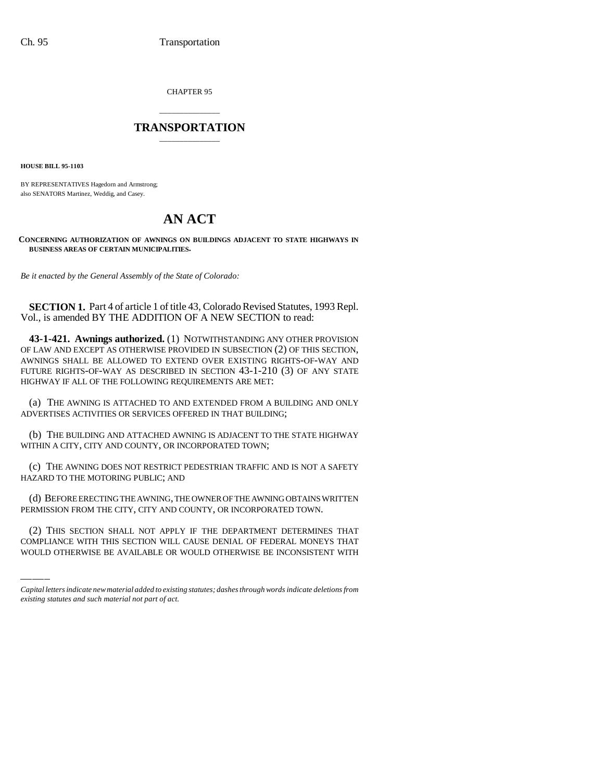CHAPTER 95

## \_\_\_\_\_\_\_\_\_\_\_\_\_\_\_ **TRANSPORTATION** \_\_\_\_\_\_\_\_\_\_\_\_\_\_\_

**HOUSE BILL 95-1103**

BY REPRESENTATIVES Hagedorn and Armstrong; also SENATORS Martinez, Weddig, and Casey.

## **AN ACT**

**CONCERNING AUTHORIZATION OF AWNINGS ON BUILDINGS ADJACENT TO STATE HIGHWAYS IN BUSINESS AREAS OF CERTAIN MUNICIPALITIES.**

*Be it enacted by the General Assembly of the State of Colorado:*

**SECTION 1.** Part 4 of article 1 of title 43, Colorado Revised Statutes, 1993 Repl. Vol., is amended BY THE ADDITION OF A NEW SECTION to read:

**43-1-421. Awnings authorized.** (1) NOTWITHSTANDING ANY OTHER PROVISION OF LAW AND EXCEPT AS OTHERWISE PROVIDED IN SUBSECTION (2) OF THIS SECTION, AWNINGS SHALL BE ALLOWED TO EXTEND OVER EXISTING RIGHTS-OF-WAY AND FUTURE RIGHTS-OF-WAY AS DESCRIBED IN SECTION 43-1-210 (3) OF ANY STATE HIGHWAY IF ALL OF THE FOLLOWING REQUIREMENTS ARE MET:

(a) THE AWNING IS ATTACHED TO AND EXTENDED FROM A BUILDING AND ONLY ADVERTISES ACTIVITIES OR SERVICES OFFERED IN THAT BUILDING;

(b) THE BUILDING AND ATTACHED AWNING IS ADJACENT TO THE STATE HIGHWAY WITHIN A CITY, CITY AND COUNTY, OR INCORPORATED TOWN;

(c) THE AWNING DOES NOT RESTRICT PEDESTRIAN TRAFFIC AND IS NOT A SAFETY HAZARD TO THE MOTORING PUBLIC; AND

(d) BEFOREERECTING THE AWARING, THEOWAER OF THE AWARING OBTAINS<br>PERMISSION FROM THE CITY, CITY AND COUNTY, OR INCORPORATED TOWN. (d) BEFORE ERECTING THE AWNING, THE OWNER OF THE AWNING OBTAINS WRITTEN

(2) THIS SECTION SHALL NOT APPLY IF THE DEPARTMENT DETERMINES THAT COMPLIANCE WITH THIS SECTION WILL CAUSE DENIAL OF FEDERAL MONEYS THAT WOULD OTHERWISE BE AVAILABLE OR WOULD OTHERWISE BE INCONSISTENT WITH

*Capital letters indicate new material added to existing statutes; dashes through words indicate deletions from existing statutes and such material not part of act.*